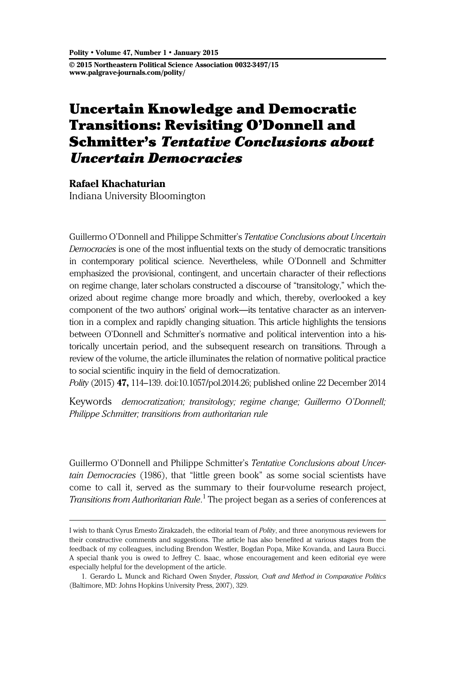© 2015 Northeastern Political Science Association 0032-3497/15 www.palgrave-journals.com/polity/

# Uncertain Knowledge and Democratic Transitions: Revisiting O'Donnell and Schmitter's Tentative Conclusions about Uncertain Democracies

Rafael Khachaturian Indiana University Bloomington

Guillermo O'Donnell and Philippe Schmitter's Tentative Conclusions about Uncertain Democracies is one of the most influential texts on the study of democratic transitions in contemporary political science. Nevertheless, while O'Donnell and Schmitter emphasized the provisional, contingent, and uncertain character of their reflections on regime change, later scholars constructed a discourse of "transitology," which theorized about regime change more broadly and which, thereby, overlooked a key component of the two authors' original work—its tentative character as an intervention in a complex and rapidly changing situation. This article highlights the tensions between O'Donnell and Schmitter's normative and political intervention into a historically uncertain period, and the subsequent research on transitions. Through a review of the volume, the article illuminates the relation of normative political practice to social scientific inquiry in the field of democratization.

Polity (2015) 47, 114–139. doi[:10.1057/pol.2014.26;](http://dx.doi.org/10.1057/pol.2014.26) published online 22 December 2014

Keywords democratization; transitology; regime change; Guillermo O'Donnell; Philippe Schmitter; transitions from authoritarian rule

Guillermo O'Donnell and Philippe Schmitter's Tentative Conclusions about Uncertain Democracies (1986), that "little green book" as some social scientists have come to call it, served as the summary to their four-volume research project, Transitions from Authoritarian Rule.<sup>1</sup> The project began as a series of conferences at

I wish to thank Cyrus Ernesto Zirakzadeh, the editorial team of Polity, and three anonymous reviewers for their constructive comments and suggestions. The article has also benefited at various stages from the feedback of my colleagues, including Brendon Westler, Bogdan Popa, Mike Kovanda, and Laura Bucci. A special thank you is owed to Jeffrey C. Isaac, whose encouragement and keen editorial eye were especially helpful for the development of the article.

<sup>1.</sup> Gerardo L. Munck and Richard Owen Snyder, Passion, Craft and Method in Comparative Politics (Baltimore, MD: Johns Hopkins University Press, 2007), 329.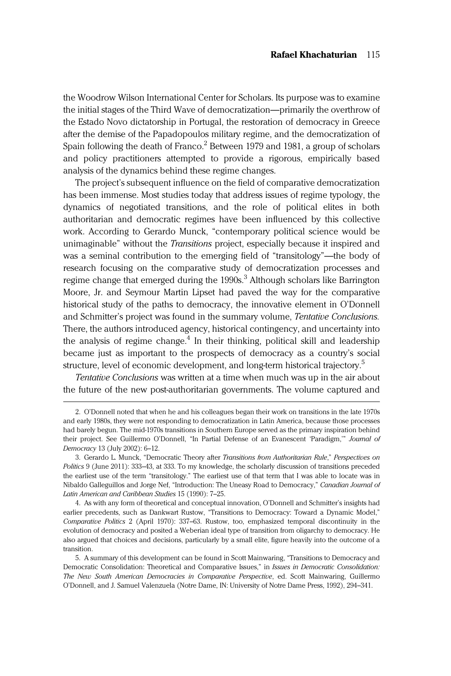the Woodrow Wilson International Center for Scholars. Its purpose was to examine the initial stages of the Third Wave of democratization—primarily the overthrow of the Estado Novo dictatorship in Portugal, the restoration of democracy in Greece after the demise of the Papadopoulos military regime, and the democratization of Spain following the death of Franco.<sup>2</sup> Between 1979 and 1981, a group of scholars and policy practitioners attempted to provide a rigorous, empirically based analysis of the dynamics behind these regime changes.

The project's subsequent influence on the field of comparative democratization has been immense. Most studies today that address issues of regime typology, the dynamics of negotiated transitions, and the role of political elites in both authoritarian and democratic regimes have been influenced by this collective work. According to Gerardo Munck, "contemporary political science would be unimaginable" without the *Transitions* project, especially because it inspired and was a seminal contribution to the emerging field of "transitology"—the body of research focusing on the comparative study of democratization processes and regime change that emerged during the  $1990s<sup>3</sup>$  Although scholars like Barrington Moore, Jr. and Seymour Martin Lipset had paved the way for the comparative historical study of the paths to democracy, the innovative element in O'Donnell and Schmitter's project was found in the summary volume, Tentative Conclusions. There, the authors introduced agency, historical contingency, and uncertainty into the analysis of regime change.<sup>4</sup> In their thinking, political skill and leadership became just as important to the prospects of democracy as a country's social structure, level of economic development, and long-term historical trajectory.<sup>5</sup>

Tentative Conclusions was written at a time when much was up in the air about the future of the new post-authoritarian governments. The volume captured and

4. As with any form of theoretical and conceptual innovation, O'Donnell and Schmitter's insights had earlier precedents, such as Dankwart Rustow, "Transitions to Democracy: Toward a Dynamic Model," Comparative Politics 2 (April 1970): 337–63. Rustow, too, emphasized temporal discontinuity in the evolution of democracy and posited a Weberian ideal type of transition from oligarchy to democracy. He also argued that choices and decisions, particularly by a small elite, figure heavily into the outcome of a transition.

<sup>2.</sup> O'Donnell noted that when he and his colleagues began their work on transitions in the late 1970s and early 1980s, they were not responding to democratization in Latin America, because those processes had barely begun. The mid-1970s transitions in Southern Europe served as the primary inspiration behind their project. See Guillermo O'Donnell, "In Partial Defense of an Evanescent 'Paradigm," Journal of Democracy 13 (July 2002): 6–12.

<sup>3.</sup> Gerardo L. Munck, "Democratic Theory after Transitions from Authoritarian Rule," Perspectives on Politics 9 (June 2011): 333–43, at 333. To my knowledge, the scholarly discussion of transitions preceded the earliest use of the term "transitology." The earliest use of that term that I was able to locate was in Nibaldo Galleguillos and Jorge Nef, "Introduction: The Uneasy Road to Democracy," Canadian Journal of Latin American and Caribbean Studies 15 (1990): 7–25.

<sup>5.</sup> A summary of this development can be found in Scott Mainwaring, "Transitions to Democracy and Democratic Consolidation: Theoretical and Comparative Issues," in Issues in Democratic Consolidation: The New South American Democracies in Comparative Perspective, ed. Scott Mainwaring, Guillermo O'Donnell, and J. Samuel Valenzuela (Notre Dame, IN: University of Notre Dame Press, 1992), 294–341.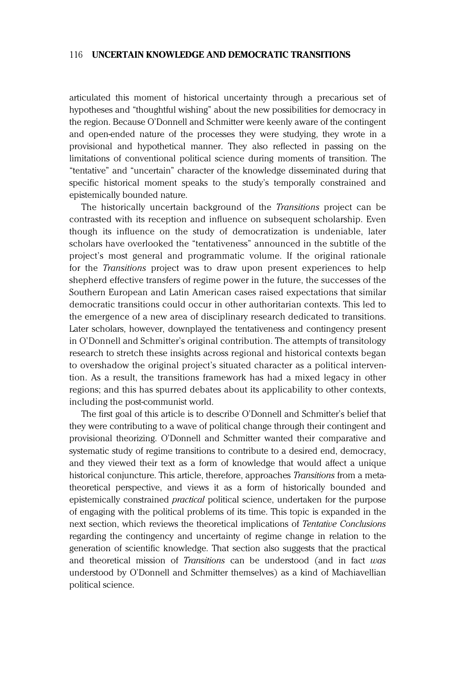articulated this moment of historical uncertainty through a precarious set of hypotheses and "thoughtful wishing" about the new possibilities for democracy in the region. Because O'Donnell and Schmitter were keenly aware of the contingent and open-ended nature of the processes they were studying, they wrote in a provisional and hypothetical manner. They also reflected in passing on the limitations of conventional political science during moments of transition. The "tentative" and "uncertain" character of the knowledge disseminated during that specific historical moment speaks to the study's temporally constrained and epistemically bounded nature.

The historically uncertain background of the Transitions project can be contrasted with its reception and influence on subsequent scholarship. Even though its influence on the study of democratization is undeniable, later scholars have overlooked the "tentativeness" announced in the subtitle of the project's most general and programmatic volume. If the original rationale for the Transitions project was to draw upon present experiences to help shepherd effective transfers of regime power in the future, the successes of the Southern European and Latin American cases raised expectations that similar democratic transitions could occur in other authoritarian contexts. This led to the emergence of a new area of disciplinary research dedicated to transitions. Later scholars, however, downplayed the tentativeness and contingency present in O'Donnell and Schmitter's original contribution. The attempts of transitology research to stretch these insights across regional and historical contexts began to overshadow the original project's situated character as a political intervention. As a result, the transitions framework has had a mixed legacy in other regions; and this has spurred debates about its applicability to other contexts, including the post-communist world.

The first goal of this article is to describe O'Donnell and Schmitter's belief that they were contributing to a wave of political change through their contingent and provisional theorizing. O'Donnell and Schmitter wanted their comparative and systematic study of regime transitions to contribute to a desired end, democracy, and they viewed their text as a form of knowledge that would affect a unique historical conjuncture. This article, therefore, approaches Transitions from a metatheoretical perspective, and views it as a form of historically bounded and epistemically constrained practical political science, undertaken for the purpose of engaging with the political problems of its time. This topic is expanded in the next section, which reviews the theoretical implications of Tentative Conclusions regarding the contingency and uncertainty of regime change in relation to the generation of scientific knowledge. That section also suggests that the practical and theoretical mission of Transitions can be understood (and in fact was understood by O'Donnell and Schmitter themselves) as a kind of Machiavellian political science.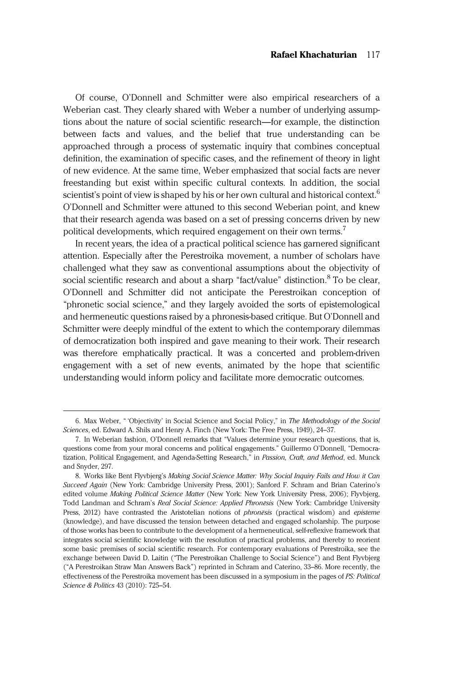Of course, O'Donnell and Schmitter were also empirical researchers of a Weberian cast. They clearly shared with Weber a number of underlying assumptions about the nature of social scientific research—for example, the distinction between facts and values, and the belief that true understanding can be approached through a process of systematic inquiry that combines conceptual definition, the examination of specific cases, and the refinement of theory in light of new evidence. At the same time, Weber emphasized that social facts are never freestanding but exist within specific cultural contexts. In addition, the social scientist's point of view is shaped by his or her own cultural and historical context.<sup>6</sup> O'Donnell and Schmitter were attuned to this second Weberian point, and knew that their research agenda was based on a set of pressing concerns driven by new political developments, which required engagement on their own terms.<sup>7</sup>

In recent years, the idea of a practical political science has garnered significant attention. Especially after the Perestroika movement, a number of scholars have challenged what they saw as conventional assumptions about the objectivity of social scientific research and about a sharp "fact/value" distinction.<sup>8</sup> To be clear, O'Donnell and Schmitter did not anticipate the Perestroikan conception of "phronetic social science," and they largely avoided the sorts of epistemological and hermeneutic questions raised by a phronesis-based critique. But O'Donnell and Schmitter were deeply mindful of the extent to which the contemporary dilemmas of democratization both inspired and gave meaning to their work. Their research was therefore emphatically practical. It was a concerted and problem-driven engagement with a set of new events, animated by the hope that scientific understanding would inform policy and facilitate more democratic outcomes.

<sup>6.</sup> Max Weber, " 'Objectivity' in Social Science and Social Policy," in The Methodology of the Social Sciences, ed. Edward A. Shils and Henry A. Finch (New York: The Free Press, 1949), 24–37.

<sup>7.</sup> In Weberian fashion, O'Donnell remarks that "Values determine your research questions, that is, questions come from your moral concerns and political engagements." Guillermo O'Donnell, "Democratization, Political Engagement, and Agenda-Setting Research," in Passion, Craft, and Method, ed. Munck and Snyder, 297.

<sup>8.</sup> Works like Bent Flyvbjerg's Making Social Science Matter: Why Social Inquiry Fails and How it Can Succeed Again (New York: Cambridge University Press, 2001); Sanford F. Schram and Brian Caterino's edited volume Making Political Science Matter (New York: New York University Press, 2006); Flyvbjerg, Todd Landman and Schram's Real Social Science: Applied Phronēsis (New York: Cambridge University Press, 2012) have contrasted the Aristotelian notions of phronēsis (practical wisdom) and episteme (knowledge), and have discussed the tension between detached and engaged scholarship. The purpose of those works has been to contribute to the development of a hermeneutical, self-reflexive framework that integrates social scientific knowledge with the resolution of practical problems, and thereby to reorient some basic premises of social scientific research. For contemporary evaluations of Perestroika, see the exchange between David D. Laitin ("The Perestroikan Challenge to Social Science") and Bent Flyvbjerg ("A Perestroikan Straw Man Answers Back") reprinted in Schram and Caterino, 33–86. More recently, the effectiveness of the Perestroika movement has been discussed in a symposium in the pages of PS: Political Science & Politics 43 (2010): 725–54.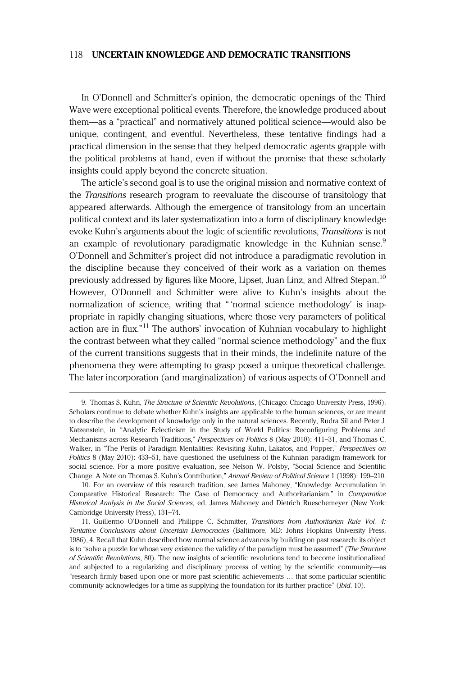In O'Donnell and Schmitter's opinion, the democratic openings of the Third Wave were exceptional political events. Therefore, the knowledge produced about them—as a "practical" and normatively attuned political science—would also be unique, contingent, and eventful. Nevertheless, these tentative findings had a practical dimension in the sense that they helped democratic agents grapple with the political problems at hand, even if without the promise that these scholarly insights could apply beyond the concrete situation.

The article's second goal is to use the original mission and normative context of the Transitions research program to reevaluate the discourse of transitology that appeared afterwards. Although the emergence of transitology from an uncertain political context and its later systematization into a form of disciplinary knowledge evoke Kuhn's arguments about the logic of scientific revolutions, Transitions is not an example of revolutionary paradigmatic knowledge in the Kuhnian sense.<sup>9</sup> O'Donnell and Schmitter's project did not introduce a paradigmatic revolution in the discipline because they conceived of their work as a variation on themes previously addressed by figures like Moore, Lipset, Juan Linz, and Alfred Stepan.<sup>10</sup> However, O'Donnell and Schmitter were alive to Kuhn's insights about the normalization of science, writing that " 'normal science methodology' is inappropriate in rapidly changing situations, where those very parameters of political action are in flux." <sup>11</sup> The authors' invocation of Kuhnian vocabulary to highlight the contrast between what they called "normal science methodology" and the flux of the current transitions suggests that in their minds, the indefinite nature of the phenomena they were attempting to grasp posed a unique theoretical challenge. The later incorporation (and marginalization) of various aspects of O'Donnell and

<sup>9.</sup> Thomas S. Kuhn, The Structure of Scientific Revolutions, (Chicago: Chicago University Press, 1996). Scholars continue to debate whether Kuhn's insights are applicable to the human sciences, or are meant to describe the development of knowledge only in the natural sciences. Recently, Rudra Sil and Peter J. Katzenstein, in "Analytic Eclecticism in the Study of World Politics: Reconfiguring Problems and Mechanisms across Research Traditions," Perspectives on Politics 8 (May 2010): 411–31, and Thomas C. Walker, in "The Perils of Paradigm Mentalities: Revisiting Kuhn, Lakatos, and Popper," Perspectives on Politics 8 (May 2010): 433–51, have questioned the usefulness of the Kuhnian paradigm framework for social science. For a more positive evaluation, see Nelson W. Polsby, "Social Science and Scientific Change: A Note on Thomas S. Kuhn's Contribution," Annual Review of Political Science 1 (1998): 199–210.

<sup>10.</sup> For an overview of this research tradition, see James Mahoney, "Knowledge Accumulation in Comparative Historical Research: The Case of Democracy and Authoritarianism," in Comparative Historical Analysis in the Social Sciences, ed. James Mahoney and Dietrich Rueschemeyer (New York: Cambridge University Press), 131–74.

<sup>11.</sup> Guillermo O'Donnell and Philippe C. Schmitter, Transitions from Authoritarian Rule Vol. 4: Tentative Conclusions about Uncertain Democracies (Baltimore, MD: Johns Hopkins University Press, 1986), 4. Recall that Kuhn described how normal science advances by building on past research: its object is to "solve a puzzle for whose very existence the validity of the paradigm must be assumed" (The Structure of Scientific Revolutions, 80). The new insights of scientific revolutions tend to become institutionalized and subjected to a regularizing and disciplinary process of vetting by the scientific community—as "research firmly based upon one or more past scientific achievements … that some particular scientific community acknowledges for a time as supplying the foundation for its further practice" (Ibid. 10).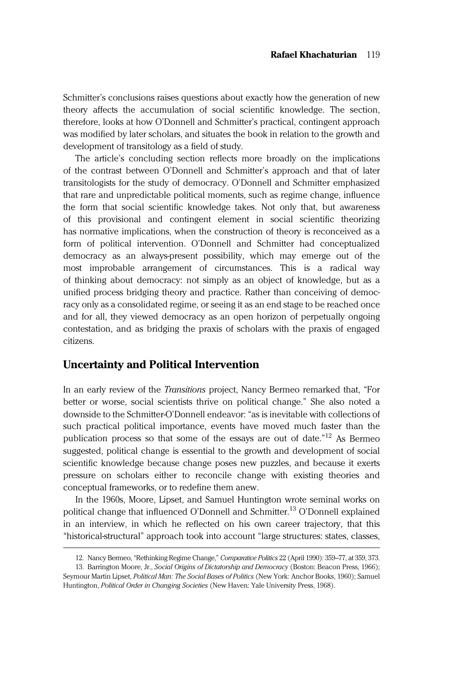Schmitter's conclusions raises questions about exactly how the generation of new theory affects the accumulation of social scientific knowledge. The section, therefore, looks at how O'Donnell and Schmitter's practical, contingent approach was modified by later scholars, and situates the book in relation to the growth and development of transitology as a field of study.

The article's concluding section reflects more broadly on the implications of the contrast between O'Donnell and Schmitter's approach and that of later transitologists for the study of democracy. O'Donnell and Schmitter emphasized that rare and unpredictable political moments, such as regime change, influence the form that social scientific knowledge takes. Not only that, but awareness of this provisional and contingent element in social scientific theorizing has normative implications, when the construction of theory is reconceived as a form of political intervention. O'Donnell and Schmitter had conceptualized democracy as an always-present possibility, which may emerge out of the most improbable arrangement of circumstances. This is a radical way of thinking about democracy: not simply as an object of knowledge, but as a unified process bridging theory and practice. Rather than conceiving of democracy only as a consolidated regime, or seeing it as an end stage to be reached once and for all, they viewed democracy as an open horizon of perpetually ongoing contestation, and as bridging the praxis of scholars with the praxis of engaged citizens.

## Uncertainty and Political Intervention

In an early review of the Transitions project, Nancy Bermeo remarked that, "For better or worse, social scientists thrive on political change." She also noted a downside to the Schmitter-O'Donnell endeavor: "as is inevitable with collections of such practical political importance, events have moved much faster than the publication process so that some of the essays are out of date."<sup>12</sup> As Bermeo suggested, political change is essential to the growth and development of social scientific knowledge because change poses new puzzles, and because it exerts pressure on scholars either to reconcile change with existing theories and conceptual frameworks, or to redefine them anew.

In the 1960s, Moore, Lipset, and Samuel Huntington wrote seminal works on political change that influenced O'Donnell and Schmitter.<sup>13</sup> O'Donnell explained in an interview, in which he reflected on his own career trajectory, that this "historical-structural" approach took into account "large structures: states, classes,

<sup>12.</sup> Nancy Bermeo, "Rethinking Regime Change," Comparative Politics 22 (April 1990): 359-77, at 359, 373. 13. Barrington Moore, Jr., Social Origins of Dictatorship and Democracy (Boston: Beacon Press, 1966);

Seymour Martin Lipset, Political Man: The Social Bases of Politics (New York: Anchor Books, 1960); Samuel Huntington, Political Order in Changing Societies (New Haven: Yale University Press, 1968).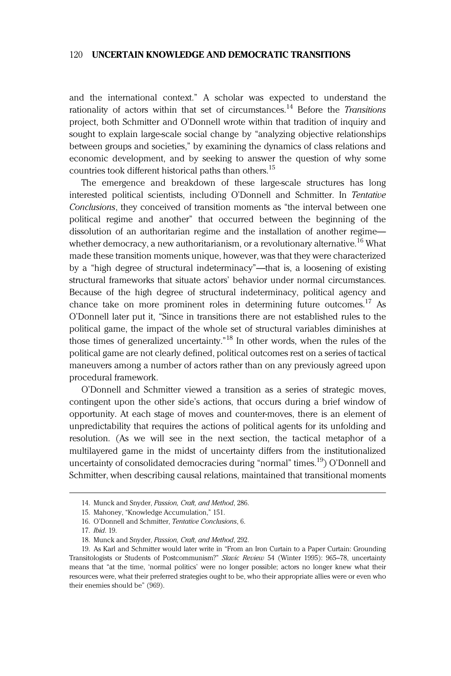and the international context." A scholar was expected to understand the rationality of actors within that set of circumstances.<sup>14</sup> Before the Transitions project, both Schmitter and O'Donnell wrote within that tradition of inquiry and sought to explain large-scale social change by "analyzing objective relationships between groups and societies," by examining the dynamics of class relations and economic development, and by seeking to answer the question of why some countries took different historical paths than others.<sup>15</sup>

The emergence and breakdown of these large-scale structures has long interested political scientists, including O'Donnell and Schmitter. In Tentative Conclusions, they conceived of transition moments as "the interval between one political regime and another" that occurred between the beginning of the dissolution of an authoritarian regime and the installation of another regime whether democracy, a new authoritarianism, or a revolutionary alternative.<sup>16</sup> What made these transition moments unique, however, was that they were characterized by a "high degree of structural indeterminacy"—that is, a loosening of existing structural frameworks that situate actors' behavior under normal circumstances. Because of the high degree of structural indeterminacy, political agency and chance take on more prominent roles in determining future outcomes.<sup>17</sup> As O'Donnell later put it, "Since in transitions there are not established rules to the political game, the impact of the whole set of structural variables diminishes at those times of generalized uncertainty." <sup>18</sup> In other words, when the rules of the political game are not clearly defined, political outcomes rest on a series of tactical maneuvers among a number of actors rather than on any previously agreed upon procedural framework.

O'Donnell and Schmitter viewed a transition as a series of strategic moves, contingent upon the other side's actions, that occurs during a brief window of opportunity. At each stage of moves and counter-moves, there is an element of unpredictability that requires the actions of political agents for its unfolding and resolution. (As we will see in the next section, the tactical metaphor of a multilayered game in the midst of uncertainty differs from the institutionalized uncertainty of consolidated democracies during "normal" times.<sup>19</sup>) O'Donnell and Schmitter, when describing causal relations, maintained that transitional moments

<sup>14.</sup> Munck and Snyder, Passion, Craft, and Method, 286.

<sup>15.</sup> Mahoney, "Knowledge Accumulation," 151.

<sup>16.</sup> O'Donnell and Schmitter, Tentative Conclusions, 6.

<sup>17.</sup> Ibid. 19.

<sup>18.</sup> Munck and Snyder, Passion, Craft, and Method, 292.

<sup>19.</sup> As Karl and Schmitter would later write in "From an Iron Curtain to a Paper Curtain: Grounding Transitologists or Students of Postcommunism?" Slavic Review 54 (Winter 1995): 965-78, uncertainty means that "at the time, 'normal politics' were no longer possible; actors no longer knew what their resources were, what their preferred strategies ought to be, who their appropriate allies were or even who their enemies should be" (969).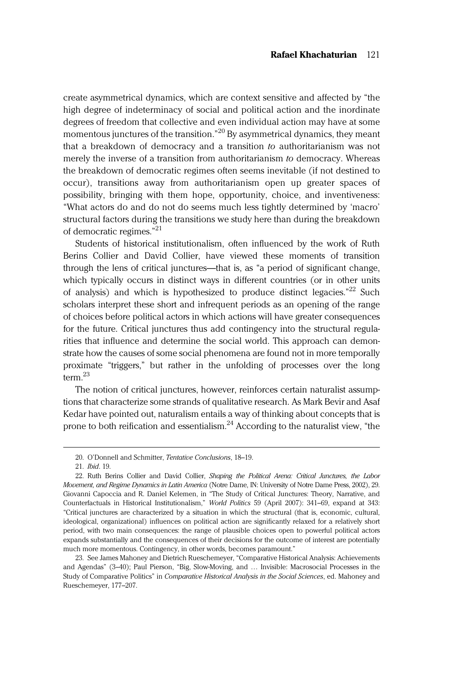create asymmetrical dynamics, which are context sensitive and affected by "the high degree of indeterminacy of social and political action and the inordinate degrees of freedom that collective and even individual action may have at some momentous junctures of the transition." <sup>20</sup> By asymmetrical dynamics, they meant that a breakdown of democracy and a transition to authoritarianism was not merely the inverse of a transition from authoritarianism to democracy. Whereas the breakdown of democratic regimes often seems inevitable (if not destined to occur), transitions away from authoritarianism open up greater spaces of possibility, bringing with them hope, opportunity, choice, and inventiveness: "What actors do and do not do seems much less tightly determined by 'macro' structural factors during the transitions we study here than during the breakdown of democratic regimes."<sup>21</sup>

Students of historical institutionalism, often influenced by the work of Ruth Berins Collier and David Collier, have viewed these moments of transition through the lens of critical junctures—that is, as "a period of significant change, which typically occurs in distinct ways in different countries (or in other units of analysis) and which is hypothesized to produce distinct legacies."<sup>22</sup> Such scholars interpret these short and infrequent periods as an opening of the range of choices before political actors in which actions will have greater consequences for the future. Critical junctures thus add contingency into the structural regularities that influence and determine the social world. This approach can demonstrate how the causes of some social phenomena are found not in more temporally proximate "triggers," but rather in the unfolding of processes over the long term  $^{23}$ 

The notion of critical junctures, however, reinforces certain naturalist assumptions that characterize some strands of qualitative research. As Mark Bevir and Asaf Kedar have pointed out, naturalism entails a way of thinking about concepts that is prone to both reification and essentialism.<sup>24</sup> According to the naturalist view, "the

<sup>20.</sup> O'Donnell and Schmitter, Tentative Conclusions, 18–19.

<sup>21.</sup> Ibid. 19.

<sup>22.</sup> Ruth Berins Collier and David Collier, Shaping the Political Arena: Critical Junctures, the Labor Movement, and Regime Dynamics in Latin America (Notre Dame, IN: University of Notre Dame Press, 2002), 29. Giovanni Capoccia and R. Daniel Kelemen, in "The Study of Critical Junctures: Theory, Narrative, and Counterfactuals in Historical Institutionalism," World Politics 59 (April 2007): 341–69, expand at 343: "Critical junctures are characterized by a situation in which the structural (that is, economic, cultural, ideological, organizational) influences on political action are significantly relaxed for a relatively short period, with two main consequences: the range of plausible choices open to powerful political actors expands substantially and the consequences of their decisions for the outcome of interest are potentially much more momentous. Contingency, in other words, becomes paramount."

<sup>23.</sup> See James Mahoney and Dietrich Rueschemeyer, "Comparative Historical Analysis: Achievements and Agendas" (3–40); Paul Pierson, "Big, Slow-Moving, and … Invisible: Macrosocial Processes in the Study of Comparative Politics" in Comparative Historical Analysis in the Social Sciences, ed. Mahoney and Rueschemeyer, 177–207.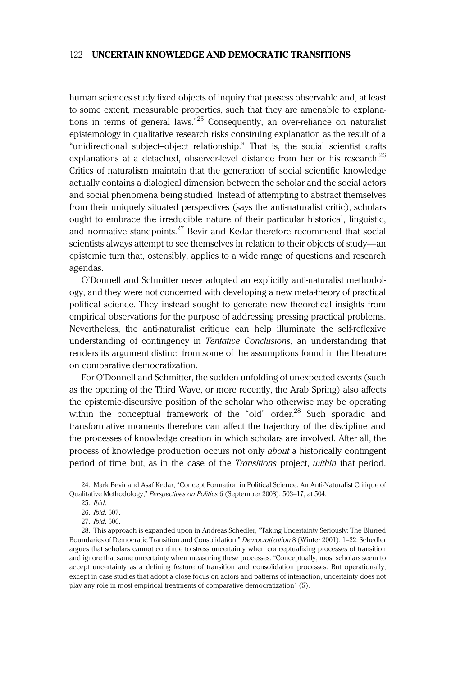human sciences study fixed objects of inquiry that possess observable and, at least to some extent, measurable properties, such that they are amenable to explanations in terms of general laws."<sup>25</sup> Consequently, an over-reliance on naturalist epistemology in qualitative research risks construing explanation as the result of a "unidirectional subject–object relationship." That is, the social scientist crafts explanations at a detached, observer-level distance from her or his research.<sup>26</sup> Critics of naturalism maintain that the generation of social scientific knowledge actually contains a dialogical dimension between the scholar and the social actors and social phenomena being studied. Instead of attempting to abstract themselves from their uniquely situated perspectives (says the anti-naturalist critic), scholars ought to embrace the irreducible nature of their particular historical, linguistic, and normative standpoints.<sup>27</sup> Bevir and Kedar therefore recommend that social scientists always attempt to see themselves in relation to their objects of study—an epistemic turn that, ostensibly, applies to a wide range of questions and research agendas.

O'Donnell and Schmitter never adopted an explicitly anti-naturalist methodology, and they were not concerned with developing a new meta-theory of practical political science. They instead sought to generate new theoretical insights from empirical observations for the purpose of addressing pressing practical problems. Nevertheless, the anti-naturalist critique can help illuminate the self-reflexive understanding of contingency in Tentative Conclusions, an understanding that renders its argument distinct from some of the assumptions found in the literature on comparative democratization.

For O'Donnell and Schmitter, the sudden unfolding of unexpected events (such as the opening of the Third Wave, or more recently, the Arab Spring) also affects the epistemic-discursive position of the scholar who otherwise may be operating within the conceptual framework of the "old" order.<sup>28</sup> Such sporadic and transformative moments therefore can affect the trajectory of the discipline and the processes of knowledge creation in which scholars are involved. After all, the process of knowledge production occurs not only about a historically contingent period of time but, as in the case of the Transitions project, within that period.

<sup>24.</sup> Mark Bevir and Asaf Kedar, "Concept Formation in Political Science: An Anti-Naturalist Critique of Qualitative Methodology," Perspectives on Politics 6 (September 2008): 503–17, at 504.

<sup>25.</sup> Ibid.

<sup>26.</sup> Ibid. 507.

<sup>27.</sup> Ibid. 506.

<sup>28.</sup> This approach is expanded upon in Andreas Schedler, "Taking Uncertainty Seriously: The Blurred Boundaries of Democratic Transition and Consolidation," Democratization 8 (Winter 2001): 1–22. Schedler argues that scholars cannot continue to stress uncertainty when conceptualizing processes of transition and ignore that same uncertainty when measuring these processes: "Conceptually, most scholars seem to accept uncertainty as a defining feature of transition and consolidation processes. But operationally, except in case studies that adopt a close focus on actors and patterns of interaction, uncertainty does not play any role in most empirical treatments of comparative democratization" (5).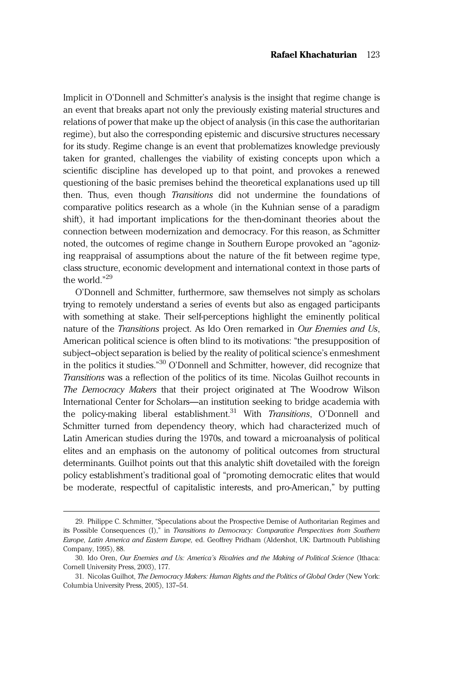Implicit in O'Donnell and Schmitter's analysis is the insight that regime change is an event that breaks apart not only the previously existing material structures and relations of power that make up the object of analysis (in this case the authoritarian regime), but also the corresponding epistemic and discursive structures necessary for its study. Regime change is an event that problematizes knowledge previously taken for granted, challenges the viability of existing concepts upon which a scientific discipline has developed up to that point, and provokes a renewed questioning of the basic premises behind the theoretical explanations used up till then. Thus, even though Transitions did not undermine the foundations of comparative politics research as a whole (in the Kuhnian sense of a paradigm shift), it had important implications for the then-dominant theories about the connection between modernization and democracy. For this reason, as Schmitter noted, the outcomes of regime change in Southern Europe provoked an "agonizing reappraisal of assumptions about the nature of the fit between regime type, class structure, economic development and international context in those parts of the world."<sup>29</sup>

O'Donnell and Schmitter, furthermore, saw themselves not simply as scholars trying to remotely understand a series of events but also as engaged participants with something at stake. Their self-perceptions highlight the eminently political nature of the Transitions project. As Ido Oren remarked in Our Enemies and Us, American political science is often blind to its motivations: "the presupposition of subject–object separation is belied by the reality of political science's enmeshment in the politics it studies." <sup>30</sup> O'Donnell and Schmitter, however, did recognize that Transitions was a reflection of the politics of its time. Nicolas Guilhot recounts in The Democracy Makers that their project originated at The Woodrow Wilson International Center for Scholars—an institution seeking to bridge academia with the policy-making liberal establishment.<sup>31</sup> With *Transitions*, O'Donnell and Schmitter turned from dependency theory, which had characterized much of Latin American studies during the 1970s, and toward a microanalysis of political elites and an emphasis on the autonomy of political outcomes from structural determinants. Guilhot points out that this analytic shift dovetailed with the foreign policy establishment's traditional goal of "promoting democratic elites that would be moderate, respectful of capitalistic interests, and pro-American," by putting

<sup>29.</sup> Philippe C. Schmitter, "Speculations about the Prospective Demise of Authoritarian Regimes and its Possible Consequences (I)," in Transitions to Democracy: Comparative Perspectives from Southern Europe, Latin America and Eastern Europe, ed. Geoffrey Pridham (Aldershot, UK: Dartmouth Publishing Company, 1995), 88.

<sup>30.</sup> Ido Oren, Our Enemies and Us: America's Rivalries and the Making of Political Science (Ithaca: Cornell University Press, 2003), 177.

<sup>31.</sup> Nicolas Guilhot, The Democracy Makers: Human Rights and the Politics of Global Order (New York: Columbia University Press, 2005), 137–54.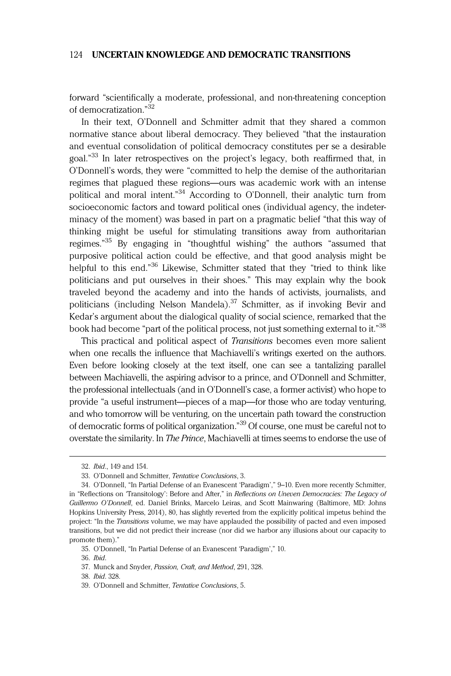forward "scientifically a moderate, professional, and non-threatening conception of democratization." 32

In their text, O'Donnell and Schmitter admit that they shared a common normative stance about liberal democracy. They believed "that the instauration and eventual consolidation of political democracy constitutes per se a desirable goal."<sup>33</sup> In later retrospectives on the project's legacy, both reaffirmed that, in O'Donnell's words, they were "committed to help the demise of the authoritarian regimes that plagued these regions—ours was academic work with an intense political and moral intent." <sup>34</sup> According to O'Donnell, their analytic turn from socioeconomic factors and toward political ones (individual agency, the indeterminacy of the moment) was based in part on a pragmatic belief "that this way of thinking might be useful for stimulating transitions away from authoritarian regimes."<sup>35</sup> By engaging in "thoughtful wishing" the authors "assumed that purposive political action could be effective, and that good analysis might be helpful to this end." <sup>36</sup> Likewise, Schmitter stated that they "tried to think like politicians and put ourselves in their shoes." This may explain why the book traveled beyond the academy and into the hands of activists, journalists, and politicians (including Nelson Mandela).<sup>37</sup> Schmitter, as if invoking Bevir and Kedar's argument about the dialogical quality of social science, remarked that the book had become "part of the political process, not just something external to it."<sup>38</sup>

This practical and political aspect of Transitions becomes even more salient when one recalls the influence that Machiavelli's writings exerted on the authors. Even before looking closely at the text itself, one can see a tantalizing parallel between Machiavelli, the aspiring advisor to a prince, and O'Donnell and Schmitter, the professional intellectuals (and in O'Donnell's case, a former activist) who hope to provide "a useful instrument—pieces of a map—for those who are today venturing, and who tomorrow will be venturing, on the uncertain path toward the construction of democratic forms of political organization."<sup>39</sup> Of course, one must be careful not to overstate the similarity. In The Prince, Machiavelli at times seems to endorse the use of

<sup>32.</sup> Ibid., 149 and 154.

<sup>33.</sup> O'Donnell and Schmitter, Tentative Conclusions, 3.

<sup>34.</sup> O'Donnell, "In Partial Defense of an Evanescent 'Paradigm'," 9–10. Even more recently Schmitter, in "Reflections on "Transitology': Before and After," in Reflections on Uneven Democracies: The Legacy of Guillermo O'Donnell, ed. Daniel Brinks, Marcelo Leiras, and Scott Mainwaring (Baltimore, MD: Johns Hopkins University Press, 2014), 80, has slightly reverted from the explicitly political impetus behind the project: "In the Transitions volume, we may have applauded the possibility of pacted and even imposed transitions, but we did not predict their increase (nor did we harbor any illusions about our capacity to promote them)."

<sup>35.</sup> O'Donnell, "In Partial Defense of an Evanescent 'Paradigm'," 10.

<sup>36.</sup> Ibid.

<sup>37.</sup> Munck and Snyder, Passion, Craft, and Method, 291, 328.

<sup>38.</sup> Ibid. 328.

<sup>39.</sup> O'Donnell and Schmitter, Tentative Conclusions, 5.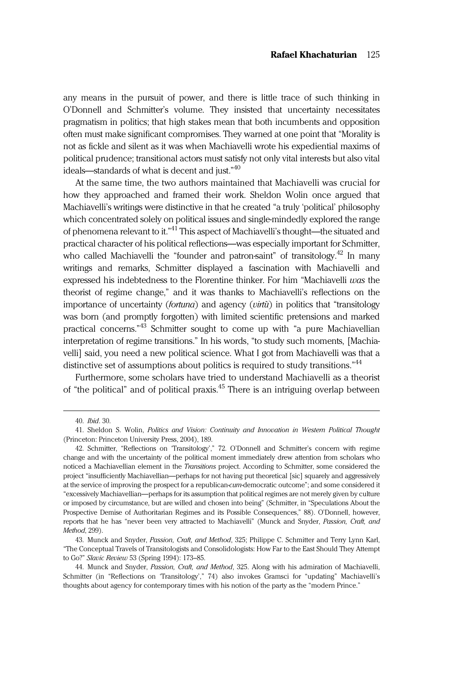any means in the pursuit of power, and there is little trace of such thinking in O'Donnell and Schmitter's volume. They insisted that uncertainty necessitates pragmatism in politics; that high stakes mean that both incumbents and opposition often must make significant compromises. They warned at one point that "Morality is not as fickle and silent as it was when Machiavelli wrote his expediential maxims of political prudence; transitional actors must satisfy not only vital interests but also vital ideals—standards of what is decent and just." 40

At the same time, the two authors maintained that Machiavelli was crucial for how they approached and framed their work. Sheldon Wolin once argued that Machiavelli's writings were distinctive in that he created "a truly 'political' philosophy which concentrated solely on political issues and single-mindedly explored the range of phenomena relevant to it."<sup>41</sup> This aspect of Machiavelli's thought—the situated and practical character of his political reflections—was especially important for Schmitter, who called Machiavelli the "founder and patron-saint" of transitology.<sup>42</sup> In many writings and remarks, Schmitter displayed a fascination with Machiavelli and expressed his indebtedness to the Florentine thinker. For him "Machiavelli  $was$  the theorist of regime change," and it was thanks to Machiavelli's reflections on the importance of uncertainty (fortuna) and agency (virtù) in politics that "transitology was born (and promptly forgotten) with limited scientific pretensions and marked practical concerns."<sup>43</sup> Schmitter sought to come up with "a pure Machiavellian interpretation of regime transitions." In his words, "to study such moments, [Machiavelli] said, you need a new political science. What I got from Machiavelli was that a distinctive set of assumptions about politics is required to study transitions."<sup>44</sup>

Furthermore, some scholars have tried to understand Machiavelli as a theorist of "the political" and of political praxis.<sup>45</sup> There is an intriguing overlap between

<sup>40.</sup> Ibid. 30.

<sup>41.</sup> Sheldon S. Wolin, Politics and Vision: Continuity and Innovation in Western Political Thought (Princeton: Princeton University Press, 2004), 189.

<sup>42.</sup> Schmitter, "Reflections on 'Transitology'," 72. O'Donnell and Schmitter's concern with regime change and with the uncertainty of the political moment immediately drew attention from scholars who noticed a Machiavellian element in the *Transitions* project. According to Schmitter, some considered the project "insufficiently Machiavellian—perhaps for not having put theoretical [sic] squarely and aggressively at the service of improving the prospect for a republican-cum-democratic outcome"; and some considered it "excessively Machiavellian—perhaps for its assumption that political regimes are not merely given by culture or imposed by circumstance, but are willed and chosen into being" (Schmitter, in "Speculations About the Prospective Demise of Authoritarian Regimes and its Possible Consequences," 88). O'Donnell, however, reports that he has "never been very attracted to Machiavelli" (Munck and Snyder, Passion, Craft, and Method, 299).

<sup>43.</sup> Munck and Snyder, Passion, Craft, and Method, 325; Philippe C. Schmitter and Terry Lynn Karl, "The Conceptual Travels of Transitologists and Consolidologists: How Far to the East Should They Attempt to Go?" Slavic Review 53 (Spring 1994): 173–85.

<sup>44.</sup> Munck and Snyder, Passion, Craft, and Method, 325. Along with his admiration of Machiavelli, Schmitter (in "Reflections on 'Transitology'," 74) also invokes Gramsci for "updating" Machiavelli's thoughts about agency for contemporary times with his notion of the party as the "modern Prince."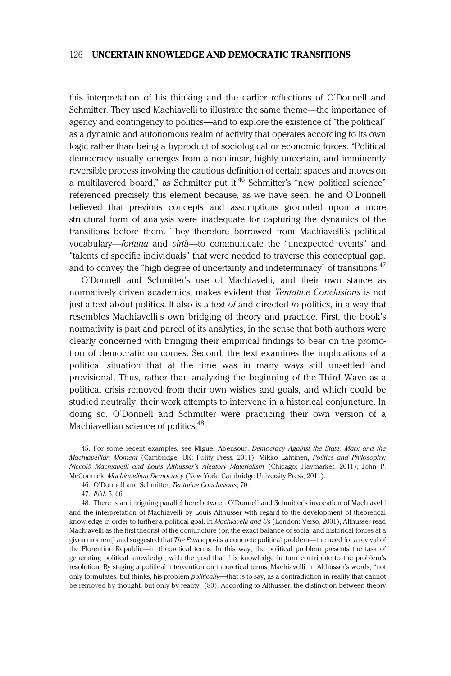this interpretation of his thinking and the earlier reflections of O'Donnell and Schmitter. They used Machiavelli to illustrate the same theme—the importance of agency and contingency to politics—and to explore the existence of "the political" as a dynamic and autonomous realm of activity that operates according to its own logic rather than being a byproduct of sociological or economic forces. "Political democracy usually emerges from a nonlinear, highly uncertain, and imminently reversible process involving the cautious definition of certain spaces and moves on a multilayered board," as Schmitter put it.<sup>46</sup> Schmitter's "new political science" referenced precisely this element because, as we have seen, he and O'Donnell believed that previous concepts and assumptions grounded upon a more structural form of analysis were inadequate for capturing the dynamics of the transitions before them. They therefore borrowed from Machiavelli's political vocabulary—fortuna and virtù—to communicate the "unexpected events" and "talents of specific individuals" that were needed to traverse this conceptual gap, and to convey the "high degree of uncertainty and indeterminacy" of transitions.<sup>47</sup>

O'Donnell and Schmitter's use of Machiavelli, and their own stance as normatively driven academics, makes evident that Tentative Conclusions is not just a text about politics. It also is a text of and directed to politics, in a way that resembles Machiavelli's own bridging of theory and practice. First, the book's normativity is part and parcel of its analytics, in the sense that both authors were clearly concerned with bringing their empirical findings to bear on the promotion of democratic outcomes. Second, the text examines the implications of a political situation that at the time was in many ways still unsettled and provisional. Thus, rather than analyzing the beginning of the Third Wave as a political crisis removed from their own wishes and goals, and which could be studied neutrally, their work attempts to intervene in a historical conjuncture. In doing so, O'Donnell and Schmitter were practicing their own version of a Machiavellian science of politics.<sup>48</sup>

<sup>45.</sup> For some recent examples, see Miguel Abensour, *Democracy Against the State: Marx and the* Machiavellian Moment (Cambridge, UK: Polity Press, 2011); Mikko Lahtinen, Politics and Philosophy: Niccolò Machiavelli and Louis Althusser's Aleatory Materialism (Chicago: Haymarket, 2011); John P. McCormick, Machiavellian Democracy (New York: Cambridge University Press, 2011).

<sup>46.</sup> O'Donnell and Schmitter, Tentative Conclusions, 70.

<sup>47.</sup> Ibid. 5, 66.

<sup>48.</sup> There is an intriguing parallel here between O'Donnell and Schmitter's invocation of Machiavelli and the interpretation of Machiavelli by Louis Althusser with regard to the development of theoretical knowledge in order to further a political goal. In Machiavelli and Us (London: Verso, 2001), Althusser read Machiavelli as the first theorist of the conjuncture (or, the exact balance of social and historical forces at a given moment) and suggested that The Prince posits a concrete political problem—the need for a revival of the Florentine Republic—in theoretical terms. In this way, the political problem presents the task of generating political knowledge, with the goal that this knowledge in turn contribute to the problem's resolution. By staging a political intervention on theoretical terms, Machiavelli, in Althusser's words, "not only formulates, but thinks, his problem politically—that is to say, as a contradiction in reality that cannot be removed by thought, but only by reality" (80). According to Althusser, the distinction between theory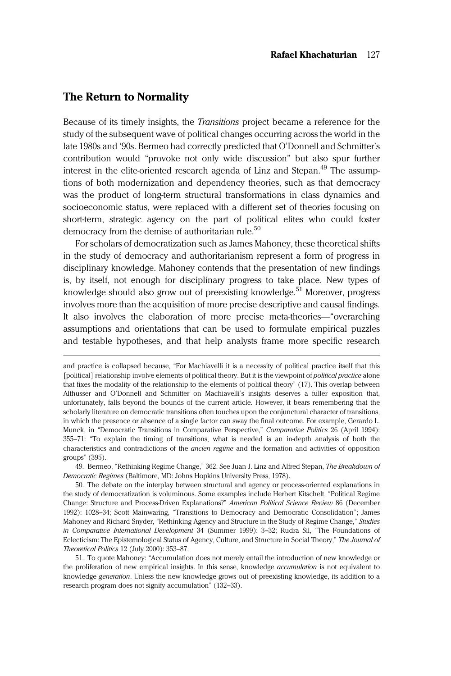## The Return to Normality

Because of its timely insights, the *Transitions* project became a reference for the study of the subsequent wave of political changes occurring across the world in the late 1980s and '90s. Bermeo had correctly predicted that O'Donnell and Schmitter's contribution would "provoke not only wide discussion" but also spur further interest in the elite-oriented research agenda of Linz and Stepan.<sup>49</sup> The assumptions of both modernization and dependency theories, such as that democracy was the product of long-term structural transformations in class dynamics and socioeconomic status, were replaced with a different set of theories focusing on short-term, strategic agency on the part of political elites who could foster democracy from the demise of authoritarian rule. $50$ 

For scholars of democratization such as James Mahoney, these theoretical shifts in the study of democracy and authoritarianism represent a form of progress in disciplinary knowledge. Mahoney contends that the presentation of new findings is, by itself, not enough for disciplinary progress to take place. New types of knowledge should also grow out of preexisting knowledge.<sup>51</sup> Moreover, progress involves more than the acquisition of more precise descriptive and causal findings. It also involves the elaboration of more precise meta-theories—"overarching assumptions and orientations that can be used to formulate empirical puzzles and testable hypotheses, and that help analysts frame more specific research

49. Bermeo, "Rethinking Regime Change," 362. See Juan J. Linz and Alfred Stepan, The Breakdown of Democratic Regimes (Baltimore, MD: Johns Hopkins University Press, 1978).

and practice is collapsed because, "For Machiavelli it is a necessity of political practice itself that this [political] relationship involve elements of political theory. But it is the viewpoint of political practice alone that fixes the modality of the relationship to the elements of political theory" (17). This overlap between Althusser and O'Donnell and Schmitter on Machiavelli's insights deserves a fuller exposition that, unfortunately, falls beyond the bounds of the current article. However, it bears remembering that the scholarly literature on democratic transitions often touches upon the conjunctural character of transitions, in which the presence or absence of a single factor can sway the final outcome. For example, Gerardo L. Munck, in "Democratic Transitions in Comparative Perspective," Comparative Politics 26 (April 1994): 355–71: "To explain the timing of transitions, what is needed is an in-depth analysis of both the characteristics and contradictions of the ancien regime and the formation and activities of opposition groups" (395).

<sup>50.</sup> The debate on the interplay between structural and agency or process-oriented explanations in the study of democratization is voluminous. Some examples include Herbert Kitschelt, "Political Regime Change: Structure and Process-Driven Explanations?" American Political Science Review 86 (December 1992): 1028–34; Scott Mainwaring, "Transitions to Democracy and Democratic Consolidation"; James Mahoney and Richard Snyder, "Rethinking Agency and Structure in the Study of Regime Change," Studies in Comparative International Development 34 (Summer 1999): 3-32; Rudra Sil, "The Foundations of Eclecticism: The Epistemological Status of Agency, Culture, and Structure in Social Theory," The Journal of Theoretical Politics 12 (July 2000): 353–87.

<sup>51.</sup> To quote Mahoney: "Accumulation does not merely entail the introduction of new knowledge or the proliferation of new empirical insights. In this sense, knowledge *accumulation* is not equivalent to knowledge *generation*. Unless the new knowledge grows out of preexisting knowledge, its addition to a research program does not signify accumulation" (132–33).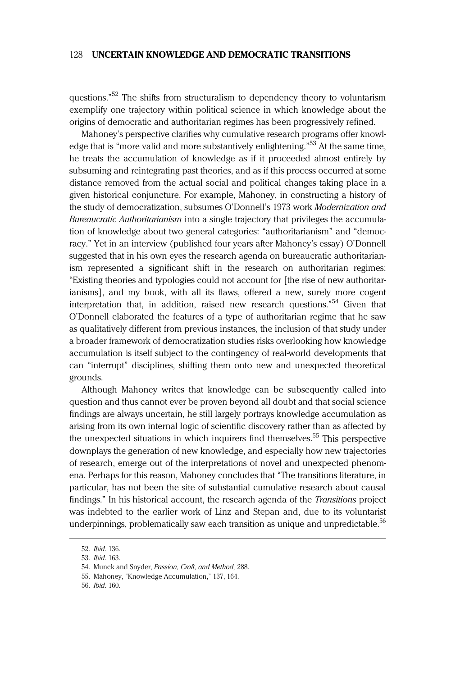questions."<sup>52</sup> The shifts from structuralism to dependency theory to voluntarism exemplify one trajectory within political science in which knowledge about the origins of democratic and authoritarian regimes has been progressively refined.

Mahoney's perspective clarifies why cumulative research programs offer knowledge that is "more valid and more substantively enlightening."<sup>53</sup> At the same time, he treats the accumulation of knowledge as if it proceeded almost entirely by subsuming and reintegrating past theories, and as if this process occurred at some distance removed from the actual social and political changes taking place in a given historical conjuncture. For example, Mahoney, in constructing a history of the study of democratization, subsumes O'Donnell's 1973 work Modernization and Bureaucratic Authoritarianism into a single trajectory that privileges the accumulation of knowledge about two general categories: "authoritarianism" and "democracy." Yet in an interview (published four years after Mahoney's essay) O'Donnell suggested that in his own eyes the research agenda on bureaucratic authoritarianism represented a significant shift in the research on authoritarian regimes: "Existing theories and typologies could not account for [the rise of new authoritarianisms], and my book, with all its flaws, offered a new, surely more cogent interpretation that, in addition, raised new research questions." <sup>54</sup> Given that O'Donnell elaborated the features of a type of authoritarian regime that he saw as qualitatively different from previous instances, the inclusion of that study under a broader framework of democratization studies risks overlooking how knowledge accumulation is itself subject to the contingency of real-world developments that can "interrupt" disciplines, shifting them onto new and unexpected theoretical grounds.

Although Mahoney writes that knowledge can be subsequently called into question and thus cannot ever be proven beyond all doubt and that social science findings are always uncertain, he still largely portrays knowledge accumulation as arising from its own internal logic of scientific discovery rather than as affected by the unexpected situations in which inquirers find themselves.<sup>55</sup> This perspective downplays the generation of new knowledge, and especially how new trajectories of research, emerge out of the interpretations of novel and unexpected phenomena. Perhaps for this reason, Mahoney concludes that "The transitions literature, in particular, has not been the site of substantial cumulative research about causal findings." In his historical account, the research agenda of the Transitions project was indebted to the earlier work of Linz and Stepan and, due to its voluntarist underpinnings, problematically saw each transition as unique and unpredictable.<sup>56</sup>

<sup>52.</sup> Ibid. 136.

<sup>53.</sup> Ibid. 163.

<sup>54.</sup> Munck and Snyder, Passion, Craft, and Method, 288.

<sup>55.</sup> Mahoney, "Knowledge Accumulation," 137, 164.

<sup>56.</sup> Ibid. 160.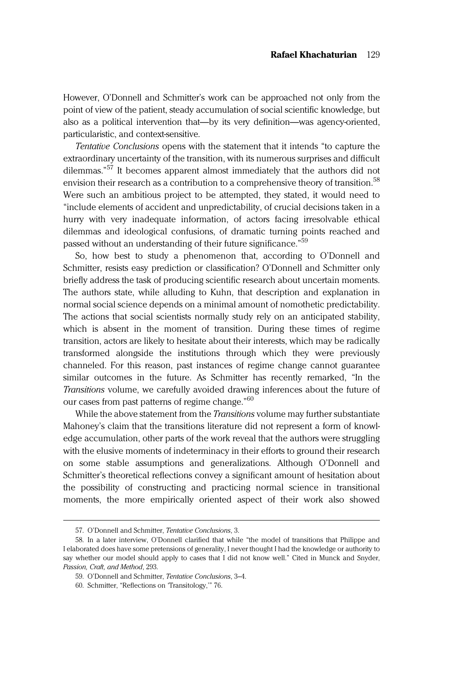However, O'Donnell and Schmitter's work can be approached not only from the point of view of the patient, steady accumulation of social scientific knowledge, but also as a political intervention that—by its very definition—was agency-oriented, particularistic, and context-sensitive.

Tentative Conclusions opens with the statement that it intends "to capture the extraordinary uncertainty of the transition, with its numerous surprises and difficult dilemmas." <sup>57</sup> It becomes apparent almost immediately that the authors did not envision their research as a contribution to a comprehensive theory of transition.<sup>58</sup> Were such an ambitious project to be attempted, they stated, it would need to "include elements of accident and unpredictability, of crucial decisions taken in a hurry with very inadequate information, of actors facing irresolvable ethical dilemmas and ideological confusions, of dramatic turning points reached and passed without an understanding of their future significance."<sup>59</sup>

So, how best to study a phenomenon that, according to O'Donnell and Schmitter, resists easy prediction or classification? O'Donnell and Schmitter only briefly address the task of producing scientific research about uncertain moments. The authors state, while alluding to Kuhn, that description and explanation in normal social science depends on a minimal amount of nomothetic predictability. The actions that social scientists normally study rely on an anticipated stability, which is absent in the moment of transition. During these times of regime transition, actors are likely to hesitate about their interests, which may be radically transformed alongside the institutions through which they were previously channeled. For this reason, past instances of regime change cannot guarantee similar outcomes in the future. As Schmitter has recently remarked, "In the Transitions volume, we carefully avoided drawing inferences about the future of our cases from past patterns of regime change."<sup>60</sup>

While the above statement from the *Transitions* volume may further substantiate Mahoney's claim that the transitions literature did not represent a form of knowledge accumulation, other parts of the work reveal that the authors were struggling with the elusive moments of indeterminacy in their efforts to ground their research on some stable assumptions and generalizations. Although O'Donnell and Schmitter's theoretical reflections convey a significant amount of hesitation about the possibility of constructing and practicing normal science in transitional moments, the more empirically oriented aspect of their work also showed

<sup>57.</sup> O'Donnell and Schmitter, Tentative Conclusions, 3.

<sup>58.</sup> In a later interview, O'Donnell clarified that while "the model of transitions that Philippe and I elaborated does have some pretensions of generality, I never thought I had the knowledge or authority to say whether our model should apply to cases that I did not know well." Cited in Munck and Snyder, Passion, Craft, and Method, 293.

<sup>59.</sup> O'Donnell and Schmitter, Tentative Conclusions, 3–4.

<sup>60.</sup> Schmitter, "Reflections on 'Transitology,'" 76.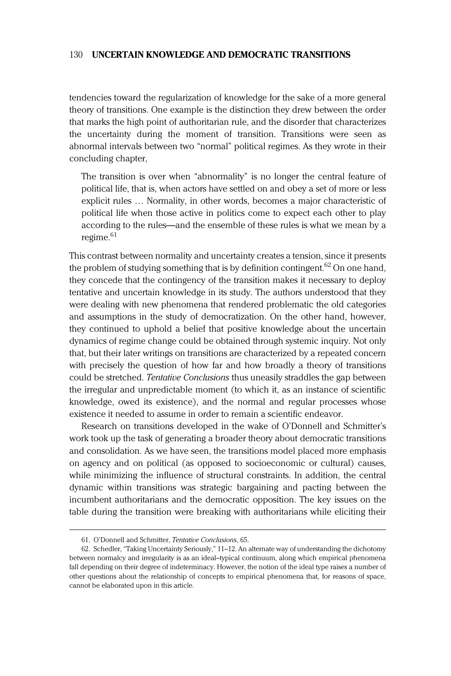tendencies toward the regularization of knowledge for the sake of a more general theory of transitions. One example is the distinction they drew between the order that marks the high point of authoritarian rule, and the disorder that characterizes the uncertainty during the moment of transition. Transitions were seen as abnormal intervals between two "normal" political regimes. As they wrote in their concluding chapter,

The transition is over when "abnormality" is no longer the central feature of political life, that is, when actors have settled on and obey a set of more or less explicit rules … Normality, in other words, becomes a major characteristic of political life when those active in politics come to expect each other to play according to the rules—and the ensemble of these rules is what we mean by a  $r$ egime $^{61}$ 

This contrast between normality and uncertainty creates a tension, since it presents the problem of studying something that is by definition contingent.<sup>62</sup> On one hand, they concede that the contingency of the transition makes it necessary to deploy tentative and uncertain knowledge in its study. The authors understood that they were dealing with new phenomena that rendered problematic the old categories and assumptions in the study of democratization. On the other hand, however, they continued to uphold a belief that positive knowledge about the uncertain dynamics of regime change could be obtained through systemic inquiry. Not only that, but their later writings on transitions are characterized by a repeated concern with precisely the question of how far and how broadly a theory of transitions could be stretched. Tentative Conclusions thus uneasily straddles the gap between the irregular and unpredictable moment (to which it, as an instance of scientific knowledge, owed its existence), and the normal and regular processes whose existence it needed to assume in order to remain a scientific endeavor.

Research on transitions developed in the wake of O'Donnell and Schmitter's work took up the task of generating a broader theory about democratic transitions and consolidation. As we have seen, the transitions model placed more emphasis on agency and on political (as opposed to socioeconomic or cultural) causes, while minimizing the influence of structural constraints. In addition, the central dynamic within transitions was strategic bargaining and pacting between the incumbent authoritarians and the democratic opposition. The key issues on the table during the transition were breaking with authoritarians while eliciting their

<sup>61.</sup> O'Donnell and Schmitter, Tentative Conclusions, 65.

<sup>62.</sup> Schedler, "Taking Uncertainty Seriously," 11–12. An alternate way of understanding the dichotomy between normalcy and irregularity is as an ideal–typical continuum, along which empirical phenomena fall depending on their degree of indeterminacy. However, the notion of the ideal type raises a number of other questions about the relationship of concepts to empirical phenomena that, for reasons of space, cannot be elaborated upon in this article.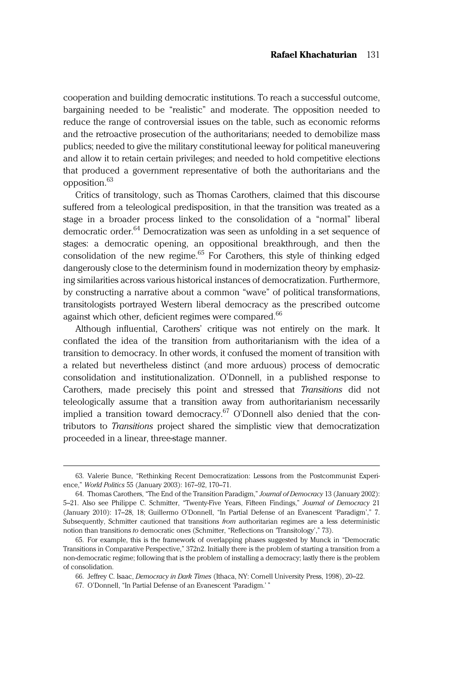cooperation and building democratic institutions. To reach a successful outcome, bargaining needed to be "realistic" and moderate. The opposition needed to reduce the range of controversial issues on the table, such as economic reforms and the retroactive prosecution of the authoritarians; needed to demobilize mass publics; needed to give the military constitutional leeway for political maneuvering and allow it to retain certain privileges; and needed to hold competitive elections that produced a government representative of both the authoritarians and the opposition.<sup>63</sup>

Critics of transitology, such as Thomas Carothers, claimed that this discourse suffered from a teleological predisposition, in that the transition was treated as a stage in a broader process linked to the consolidation of a "normal" liberal democratic order.<sup>64</sup> Democratization was seen as unfolding in a set sequence of stages: a democratic opening, an oppositional breakthrough, and then the consolidation of the new regime. $65$  For Carothers, this style of thinking edged dangerously close to the determinism found in modernization theory by emphasizing similarities across various historical instances of democratization. Furthermore, by constructing a narrative about a common "wave" of political transformations, transitologists portrayed Western liberal democracy as the prescribed outcome against which other, deficient regimes were compared.<sup>66</sup>

Although influential, Carothers' critique was not entirely on the mark. It conflated the idea of the transition from authoritarianism with the idea of a transition to democracy. In other words, it confused the moment of transition with a related but nevertheless distinct (and more arduous) process of democratic consolidation and institutionalization. O'Donnell, in a published response to Carothers, made precisely this point and stressed that Transitions did not teleologically assume that a transition away from authoritarianism necessarily implied a transition toward democracy.<sup>67</sup> O'Donnell also denied that the contributors to Transitions project shared the simplistic view that democratization proceeded in a linear, three-stage manner.

<sup>63.</sup> Valerie Bunce, "Rethinking Recent Democratization: Lessons from the Postcommunist Experience," World Politics 55 (January 2003): 167–92, 170–71.

<sup>64.</sup> Thomas Carothers, "The End of the Transition Paradigm," Journal of Democracy 13 (January 2002): 5-21. Also see Philippe C. Schmitter, "Twenty-Five Years, Fifteen Findings," Journal of Democracy 21 (January 2010): 17–28, 18; Guillermo O'Donnell, "In Partial Defense of an Evanescent 'Paradigm'," 7. Subsequently, Schmitter cautioned that transitions from authoritarian regimes are a less deterministic notion than transitions to democratic ones (Schmitter, "Reflections on 'Transitology'," 73).

<sup>65.</sup> For example, this is the framework of overlapping phases suggested by Munck in "Democratic Transitions in Comparative Perspective," 372n2. Initially there is the problem of starting a transition from a non-democratic regime; following that is the problem of installing a democracy; lastly there is the problem of consolidation.

<sup>66.</sup> Jeffrey C. Isaac, Democracy in Dark Times (Ithaca, NY: Cornell University Press, 1998), 20–22.

<sup>67.</sup> O'Donnell, "In Partial Defense of an Evanescent 'Paradigm.' "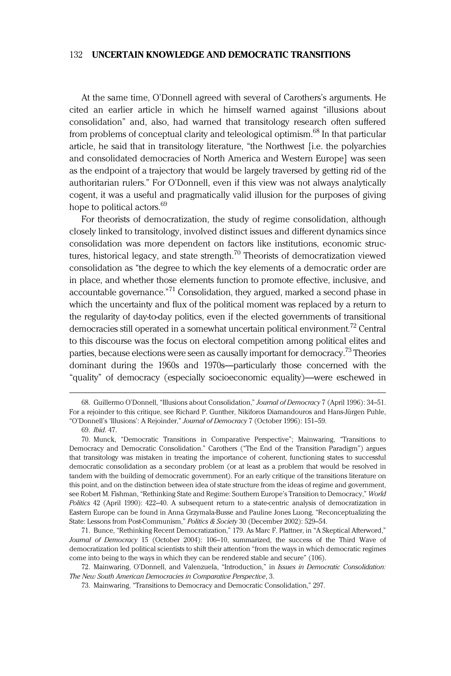At the same time, O'Donnell agreed with several of Carothers's arguments. He cited an earlier article in which he himself warned against "illusions about consolidation" and, also, had warned that transitology research often suffered from problems of conceptual clarity and teleological optimism.<sup>68</sup> In that particular article, he said that in transitology literature, "the Northwest [i.e. the polyarchies and consolidated democracies of North America and Western Europe] was seen as the endpoint of a trajectory that would be largely traversed by getting rid of the authoritarian rulers." For O'Donnell, even if this view was not always analytically cogent, it was a useful and pragmatically valid illusion for the purposes of giving hope to political actors.<sup>69</sup>

For theorists of democratization, the study of regime consolidation, although closely linked to transitology, involved distinct issues and different dynamics since consolidation was more dependent on factors like institutions, economic structures, historical legacy, and state strength.<sup>70</sup> Theorists of democratization viewed consolidation as "the degree to which the key elements of a democratic order are in place, and whether those elements function to promote effective, inclusive, and accountable governance."<sup>71</sup> Consolidation, they argued, marked a second phase in which the uncertainty and flux of the political moment was replaced by a return to the regularity of day-to-day politics, even if the elected governments of transitional democracies still operated in a somewhat uncertain political environment.<sup>72</sup> Central to this discourse was the focus on electoral competition among political elites and parties, because elections were seen as causally important for democracy.73 Theories dominant during the 1960s and 1970s—particularly those concerned with the "quality" of democracy (especially socioeconomic equality)—were eschewed in

71. Bunce, "Rethinking Recent Democratization," 179. As Marc F. Plattner, in "A Skeptical Afterword," Journal of Democracy 15 (October 2004): 106–10, summarized, the success of the Third Wave of democratization led political scientists to shift their attention "from the ways in which democratic regimes come into being to the ways in which they can be rendered stable and secure" (106).

<sup>68.</sup> Guillermo O'Donnell, "Illusions about Consolidation," Journal of Democracy 7 (April 1996): 34–51. For a rejoinder to this critique, see Richard P. Gunther, Nikiforos Diamandouros and Hans-Jürgen Puhle, "O'Donnell's 'Illusions': A Rejoinder," Journal of Democracy 7 (October 1996): 151–59.

<sup>69.</sup> Ibid. 47.

<sup>70.</sup> Munck, "Democratic Transitions in Comparative Perspective"; Mainwaring, "Transitions to Democracy and Democratic Consolidation." Carothers ("The End of the Transition Paradigm") argues that transitology was mistaken in treating the importance of coherent, functioning states to successful democratic consolidation as a secondary problem (or at least as a problem that would be resolved in tandem with the building of democratic government). For an early critique of the transitions literature on this point, and on the distinction between idea of state structure from the ideas of regime and government, see Robert M. Fishman, "Rethinking State and Regime: Southern Europe's Transition to Democracy," World Politics 42 (April 1990): 422–40. A subsequent return to a state-centric analysis of democratization in Eastern Europe can be found in Anna Grzymala-Busse and Pauline Jones Luong, "Reconceptualizing the State: Lessons from Post-Communism," Politics & Society 30 (December 2002): 529–54.

<sup>72.</sup> Mainwaring, O'Donnell, and Valenzuela, "Introduction," in Issues in Democratic Consolidation: The New South American Democracies in Comparative Perspective, 3.

<sup>73.</sup> Mainwaring, "Transitions to Democracy and Democratic Consolidation," 297.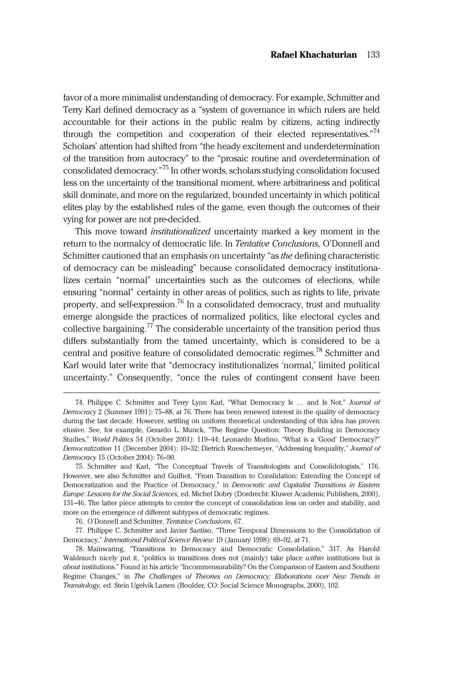favor of a more minimalist understanding of democracy. For example, Schmitter and Terry Karl defined democracy as a "system of governance in which rulers are held accountable for their actions in the public realm by citizens, acting indirectly through the competition and cooperation of their elected representatives."<sup>74</sup> Scholars' attention had shifted from "the heady excitement and underdetermination of the transition from autocracy" to the "prosaic routine and overdetermination of consolidated democracy." <sup>75</sup> In other words, scholars studying consolidation focused less on the uncertainty of the transitional moment, where arbitrariness and political skill dominate, and more on the regularized, bounded uncertainty in which political elites play by the established rules of the game, even though the outcomes of their vying for power are not pre-decided.

This move toward *institutionalized* uncertainty marked a key moment in the return to the normalcy of democratic life. In Tentative Conclusions, O'Donnell and Schmitter cautioned that an emphasis on uncertainty "as *the* defining characteristic of democracy can be misleading" because consolidated democracy institutionalizes certain "normal" uncertainties such as the outcomes of elections, while ensuring "normal" certainty in other areas of politics, such as rights to life, private property, and self-expression.<sup>76</sup> In a consolidated democracy, trust and mutuality emerge alongside the practices of normalized politics, like electoral cycles and collective bargaining.<sup>77</sup> The considerable uncertainty of the transition period thus differs substantially from the tamed uncertainty, which is considered to be a central and positive feature of consolidated democratic regimes.<sup>78</sup> Schmitter and Karl would later write that "democracy institutionalizes 'normal,' limited political uncertainty." Consequently, "once the rules of contingent consent have been

<sup>74.</sup> Philippe C. Schmitter and Terry Lynn Karl, "What Democracy Is … and Is Not," Journal of Democracy 2 (Summer 1991): 75–88, at 76. There has been renewed interest in the quality of democracy during the last decade. However, settling on uniform theoretical understanding of this idea has proven elusive. See, for example, Gerardo L. Munck, "The Regime Question: Theory Building in Democracy Studies," World Politics 54 (October 2001): 119–44; Leonardo Morlino, "What is a 'Good' Democracy?" Democratization 11 (December 2004): 10–32; Dietrich Rueschemeyer, "Addressing Inequality," Journal of Democracy 15 (October 2004): 76–90.

<sup>75.</sup> Schmitter and Karl, "The Conceptual Travels of Transitologists and Consolidologists," 176. However, see also Schmitter and Guilhot, "From Transition to Conslidation: Extending the Concept of Democratization and the Practice of Democracy," in Democratic and Capitalist Transitions in Eastern Europe: Lessons for the Social Sciences, ed. Michel Dobry (Dordrecht: Kluwer Academic Publishers, 2000), 131–46. The latter piece attempts to center the concept of consolidation less on order and stability, and more on the emergence of different subtypes of democratic regimes.

<sup>76.</sup> O'Donnell and Schmitter, Tentative Conclusions, 67.

<sup>77.</sup> Philippe C. Schmitter and Javier Santiso, "Three Temporal Dimensions to the Consolidation of Democracy," International Political Science Review 19 (January 1998): 69–92, at 71.

<sup>78.</sup> Mainwaring, "Transitions to Democracy and Democratic Consolidation," 317. As Harold Waldrauch nicely put it, "politics in transitions does not (mainly) take place within institutions but is about institutions." Found in his article "Incommensurability? On the Comparison of Eastern and Southern Regime Changes," in The Challenges of Theories on Democracy: Elaborations over New Trends in Transitology, ed. Stein Ugelvik Larsen (Boulder, CO: Social Science Monographs, 2000), 102.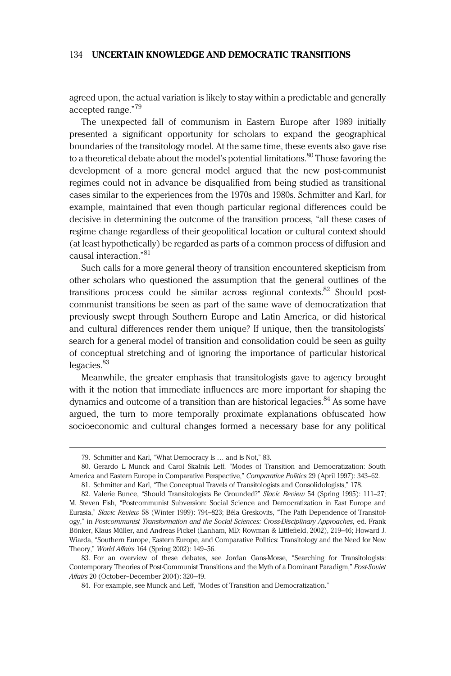agreed upon, the actual variation is likely to stay within a predictable and generally accepted range." 79

The unexpected fall of communism in Eastern Europe after 1989 initially presented a significant opportunity for scholars to expand the geographical boundaries of the transitology model. At the same time, these events also gave rise to a theoretical debate about the model's potential limitations.<sup>80</sup> Those favoring the development of a more general model argued that the new post-communist regimes could not in advance be disqualified from being studied as transitional cases similar to the experiences from the 1970s and 1980s. Schmitter and Karl, for example, maintained that even though particular regional differences could be decisive in determining the outcome of the transition process, "all these cases of regime change regardless of their geopolitical location or cultural context should (at least hypothetically) be regarded as parts of a common process of diffusion and causal interaction." 81

Such calls for a more general theory of transition encountered skepticism from other scholars who questioned the assumption that the general outlines of the transitions process could be similar across regional contexts.<sup>82</sup> Should postcommunist transitions be seen as part of the same wave of democratization that previously swept through Southern Europe and Latin America, or did historical and cultural differences render them unique? If unique, then the transitologists' search for a general model of transition and consolidation could be seen as guilty of conceptual stretching and of ignoring the importance of particular historical legacies.<sup>83</sup>

Meanwhile, the greater emphasis that transitologists gave to agency brought with it the notion that immediate influences are more important for shaping the dynamics and outcome of a transition than are historical legacies.<sup>84</sup> As some have argued, the turn to more temporally proximate explanations obfuscated how socioeconomic and cultural changes formed a necessary base for any political

<sup>79.</sup> Schmitter and Karl, "What Democracy Is … and Is Not," 83.

<sup>80.</sup> Gerardo L Munck and Carol Skalnik Leff, "Modes of Transition and Democratization: South America and Eastern Europe in Comparative Perspective," Comparative Politics 29 (April 1997): 343–62.

<sup>81.</sup> Schmitter and Karl, "The Conceptual Travels of Transitologists and Consolidologists," 178.

<sup>82.</sup> Valerie Bunce, "Should Transitologists Be Grounded?" Slavic Review 54 (Spring 1995): 111-27; M. Steven Fish, "Postcommunist Subversion: Social Science and Democratization in East Europe and Eurasia," Slavic Review 58 (Winter 1999): 794–823; Béla Greskovits, "The Path Dependence of Transitology," in Postcommunist Transformation and the Social Sciences: Cross-Disciplinary Approaches, ed. Frank Bönker, Klaus Müller, and Andreas Pickel (Lanham, MD: Rowman & Littlefield, 2002), 219–46; Howard J. Wiarda, "Southern Europe, Eastern Europe, and Comparative Politics: Transitology and the Need for New Theory," World Affairs 164 (Spring 2002): 149–56.

<sup>83.</sup> For an overview of these debates, see Jordan Gans-Morse, "Searching for Transitologists: Contemporary Theories of Post-Communist Transitions and the Myth of a Dominant Paradigm," Post-Soviet Affairs 20 (October–December 2004): 320–49.

<sup>84.</sup> For example, see Munck and Leff, "Modes of Transition and Democratization."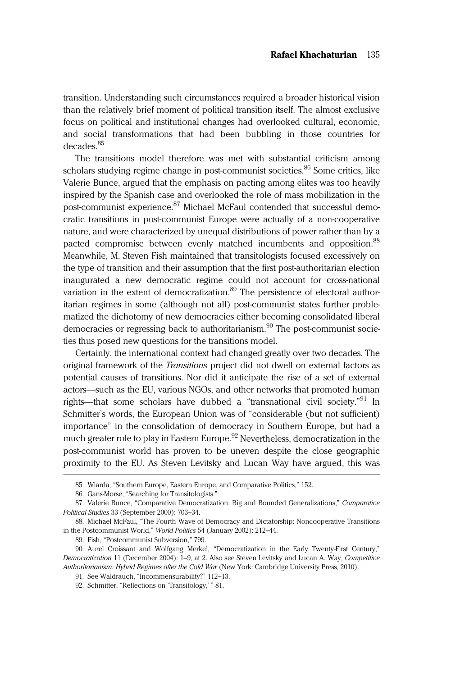transition. Understanding such circumstances required a broader historical vision than the relatively brief moment of political transition itself. The almost exclusive focus on political and institutional changes had overlooked cultural, economic, and social transformations that had been bubbling in those countries for decades.<sup>85</sup>

The transitions model therefore was met with substantial criticism among scholars studying regime change in post-communist societies.<sup>86</sup> Some critics, like Valerie Bunce, argued that the emphasis on pacting among elites was too heavily inspired by the Spanish case and overlooked the role of mass mobilization in the post-communist experience.<sup>87</sup> Michael McFaul contended that successful democratic transitions in post-communist Europe were actually of a non-cooperative nature, and were characterized by unequal distributions of power rather than by a pacted compromise between evenly matched incumbents and opposition.<sup>88</sup> Meanwhile, M. Steven Fish maintained that transitologists focused excessively on the type of transition and their assumption that the first post-authoritarian election inaugurated a new democratic regime could not account for cross-national variation in the extent of democratization.<sup>89</sup> The persistence of electoral authoritarian regimes in some (although not all) post-communist states further problematized the dichotomy of new democracies either becoming consolidated liberal democracies or regressing back to authoritarianism.<sup>90</sup> The post-communist societies thus posed new questions for the transitions model.

Certainly, the international context had changed greatly over two decades. The original framework of the Transitions project did not dwell on external factors as potential causes of transitions. Nor did it anticipate the rise of a set of external actors—such as the EU, various NGOs, and other networks that promoted human rights—that some scholars have dubbed a "transnational civil society."<sup>91</sup> In Schmitter's words, the European Union was of "considerable (but not sufficient) importance" in the consolidation of democracy in Southern Europe, but had a much greater role to play in Eastern Europe.<sup>92</sup> Nevertheless, democratization in the post-communist world has proven to be uneven despite the close geographic proximity to the EU. As Steven Levitsky and Lucan Way have argued, this was

<sup>85.</sup> Wiarda, "Southern Europe, Eastern Europe, and Comparative Politics," 152.

<sup>86.</sup> Gans-Morse, "Searching for Transitologists."

<sup>87.</sup> Valerie Bunce, "Comparative Democratization: Big and Bounded Generalizations," Comparative Political Studies 33 (September 2000): 703–34.

<sup>88.</sup> Michael McFaul, "The Fourth Wave of Democracy and Dictatorship: Noncooperative Transitions in the Postcommunist World," World Politics 54 (January 2002): 212–44.

<sup>89.</sup> Fish, "Postcommunist Subversion," 799.

<sup>90.</sup> Aurel Croissant and Wolfgang Merkel, "Democratization in the Early Twenty-First Century," Democratization 11 (December 2004): 1-9, at 2. Also see Steven Levitsky and Lucan A. Way, Competitive Authoritarianism: Hybrid Regimes after the Cold War (New York: Cambridge University Press, 2010).

<sup>91.</sup> See Waldrauch, "Incommensurability?" 112–13.

<sup>92.</sup> Schmitter, "Reflections on 'Transitology,' " 81.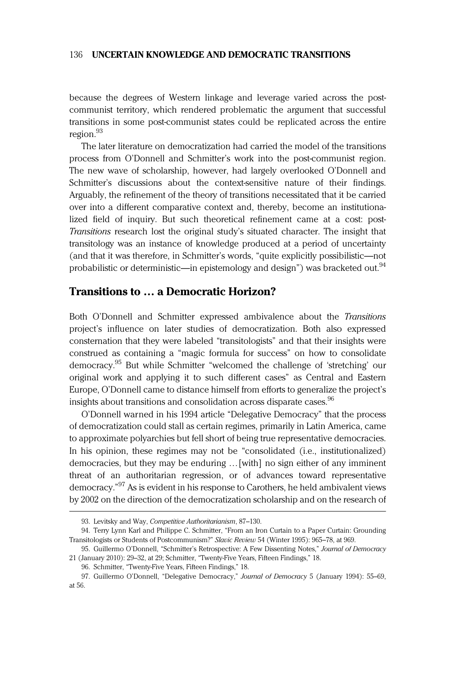because the degrees of Western linkage and leverage varied across the postcommunist territory, which rendered problematic the argument that successful transitions in some post-communist states could be replicated across the entire region.<sup>93</sup>

The later literature on democratization had carried the model of the transitions process from O'Donnell and Schmitter's work into the post-communist region. The new wave of scholarship, however, had largely overlooked O'Donnell and Schmitter's discussions about the context-sensitive nature of their findings. Arguably, the refinement of the theory of transitions necessitated that it be carried over into a different comparative context and, thereby, become an institutionalized field of inquiry. But such theoretical refinement came at a cost: post-Transitions research lost the original study's situated character. The insight that transitology was an instance of knowledge produced at a period of uncertainty (and that it was therefore, in Schmitter's words, "quite explicitly possibilistic—not probabilistic or deterministic—in epistemology and design") was bracketed out.<sup>94</sup>

# Transitions to … a Democratic Horizon?

Both O'Donnell and Schmitter expressed ambivalence about the Transitions project's influence on later studies of democratization. Both also expressed consternation that they were labeled "transitologists" and that their insights were construed as containing a "magic formula for success" on how to consolidate democracy.95 But while Schmitter "welcomed the challenge of 'stretching' our original work and applying it to such different cases" as Central and Eastern Europe, O'Donnell came to distance himself from efforts to generalize the project's insights about transitions and consolidation across disparate cases.<sup>96</sup>

O'Donnell warned in his 1994 article "Delegative Democracy" that the process of democratization could stall as certain regimes, primarily in Latin America, came to approximate polyarchies but fell short of being true representative democracies. In his opinion, these regimes may not be "consolidated (i.e., institutionalized) democracies, but they may be enduring …[with] no sign either of any imminent threat of an authoritarian regression, or of advances toward representative democracy." <sup>97</sup> As is evident in his response to Carothers, he held ambivalent views by 2002 on the direction of the democratization scholarship and on the research of

<sup>93.</sup> Levitsky and Way, Competitive Authoritarianism, 87–130.

<sup>94.</sup> Terry Lynn Karl and Philippe C. Schmitter, "From an Iron Curtain to a Paper Curtain: Grounding Transitologists or Students of Postcommunism?" Slavic Review 54 (Winter 1995): 965–78, at 969.

<sup>95.</sup> Guillermo O'Donnell, "Schmitter's Retrospective: A Few Dissenting Notes," Journal of Democracy 21 (January 2010): 29–32, at 29; Schmitter, "Twenty-Five Years, Fifteen Findings," 18.

<sup>96.</sup> Schmitter, "Twenty-Five Years, Fifteen Findings," 18.

<sup>97.</sup> Guillermo O'Donnell, "Delegative Democracy," Journal of Democracy 5 (January 1994): 55-69, at 56.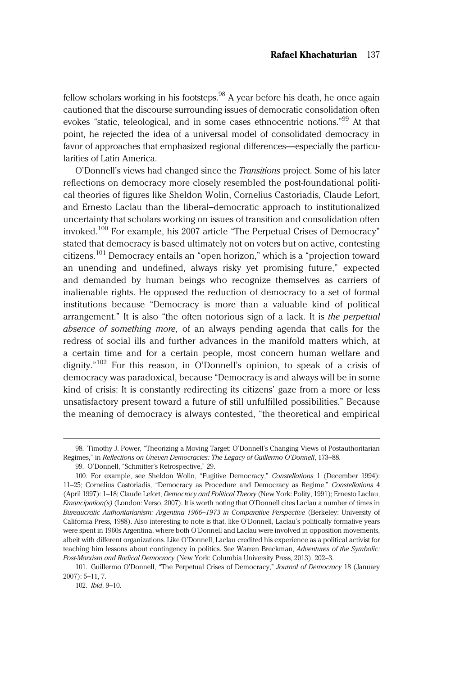fellow scholars working in his footsteps.<sup>98</sup> A year before his death, he once again cautioned that the discourse surrounding issues of democratic consolidation often evokes "static, teleological, and in some cases ethnocentric notions."<sup>99</sup> At that point, he rejected the idea of a universal model of consolidated democracy in favor of approaches that emphasized regional differences—especially the particularities of Latin America.

O'Donnell's views had changed since the Transitions project. Some of his later reflections on democracy more closely resembled the post-foundational political theories of figures like Sheldon Wolin, Cornelius Castoriadis, Claude Lefort, and Ernesto Laclau than the liberal–democratic approach to institutionalized uncertainty that scholars working on issues of transition and consolidation often invoked.<sup>100</sup> For example, his 2007 article "The Perpetual Crises of Democracy" stated that democracy is based ultimately not on voters but on active, contesting citizens.<sup>101</sup> Democracy entails an "open horizon," which is a "projection toward an unending and undefined, always risky yet promising future," expected and demanded by human beings who recognize themselves as carriers of inalienable rights. He opposed the reduction of democracy to a set of formal institutions because "Democracy is more than a valuable kind of political arrangement." It is also "the often notorious sign of a lack. It is the perpetual absence of something more, of an always pending agenda that calls for the redress of social ills and further advances in the manifold matters which, at a certain time and for a certain people, most concern human welfare and dignity." <sup>102</sup> For this reason, in O'Donnell's opinion, to speak of a crisis of democracy was paradoxical, because "Democracy is and always will be in some kind of crisis: It is constantly redirecting its citizens' gaze from a more or less unsatisfactory present toward a future of still unfulfilled possibilities." Because the meaning of democracy is always contested, "the theoretical and empirical

102. Ibid. 9–10.

<sup>98.</sup> Timothy J. Power, "Theorizing a Moving Target: O'Donnell's Changing Views of Postauthoritarian Regimes," in Reflections on Uneven Democracies: The Legacy of Guillermo O'Donnell, 173–88.

<sup>99.</sup> O'Donnell, "Schmitter's Retrospective," 29.

<sup>100.</sup> For example, see Sheldon Wolin, "Fugitive Democracy," Constellations 1 (December 1994): 11–25; Cornelius Castoriadis, "Democracy as Procedure and Democracy as Regime," Constellations 4 (April 1997): 1–18; Claude Lefort, Democracy and Political Theory (New York: Polity, 1991); Ernesto Laclau,  $E$ mancipation(s) (London: Verso, 2007). It is worth noting that O'Donnell cites Laclau a number of times in Bureaucratic Authoritarianism: Argentina 1966–1973 in Comparative Perspective (Berkeley: University of California Press, 1988). Also interesting to note is that, like O'Donnell, Laclau's politically formative years were spent in 1960s Argentina, where both O'Donnell and Laclau were involved in opposition movements, albeit with different organizations. Like O'Donnell, Laclau credited his experience as a political activist for teaching him lessons about contingency in politics. See Warren Breckman, Adventures of the Symbolic: Post-Marxism and Radical Democracy (New York: Columbia University Press, 2013), 202–3.

<sup>101.</sup> Guillermo O'Donnell, "The Perpetual Crises of Democracy," Journal of Democracy 18 (January 2007): 5–11, 7.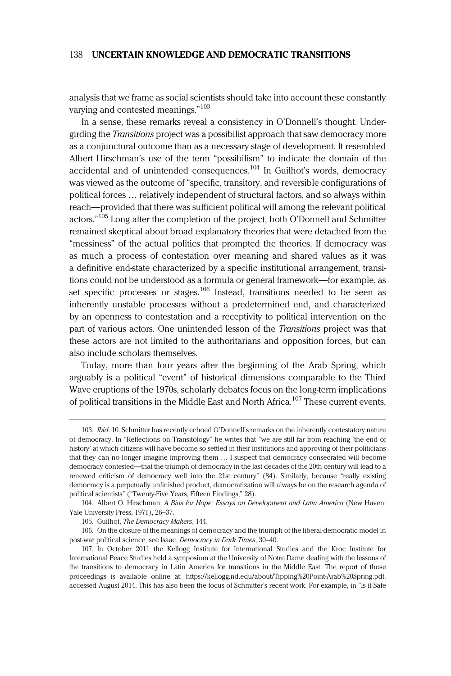analysis that we frame as social scientists should take into account these constantly varying and contested meanings." 103

In a sense, these remarks reveal a consistency in O'Donnell's thought. Undergirding the *Transitions* project was a possibilist approach that saw democracy more as a conjunctural outcome than as a necessary stage of development. It resembled Albert Hirschman's use of the term "possibilism" to indicate the domain of the accidental and of unintended consequences.<sup>104</sup> In Guilhot's words, democracy was viewed as the outcome of "specific, transitory, and reversible configurations of political forces … relatively independent of structural factors, and so always within reach—provided that there was sufficient political will among the relevant political actors." <sup>105</sup> Long after the completion of the project, both O'Donnell and Schmitter remained skeptical about broad explanatory theories that were detached from the "messiness" of the actual politics that prompted the theories. If democracy was as much a process of contestation over meaning and shared values as it was a definitive end-state characterized by a specific institutional arrangement, transitions could not be understood as a formula or general framework—for example, as set specific processes or stages.<sup>106</sup> Instead, transitions needed to be seen as inherently unstable processes without a predetermined end, and characterized by an openness to contestation and a receptivity to political intervention on the part of various actors. One unintended lesson of the Transitions project was that these actors are not limited to the authoritarians and opposition forces, but can also include scholars themselves.

Today, more than four years after the beginning of the Arab Spring, which arguably is a political "event" of historical dimensions comparable to the Third Wave eruptions of the 1970s, scholarly debates focus on the long-term implications of political transitions in the Middle East and North Africa.<sup>107</sup> These current events.

<sup>103.</sup> *Ibid.* 10. Schmitter has recently echoed O'Donnell's remarks on the inherently contestatory nature of democracy. In "Reflections on Transitology" he writes that "we are still far from reaching 'the end of history' at which citizens will have become so settled in their institutions and approving of their politicians that they can no longer imagine improving them … I suspect that democracy consecrated will become democracy contested—that the triumph of democracy in the last decades of the 20th century will lead to a renewed criticism of democracy well into the 21st century" (84). Similarly, because "really existing democracy is a perpetually unfinished product, democratization will always be on the research agenda of political scientists" ("Twenty-Five Years, Fifteen Findings," 28).

<sup>104.</sup> Albert O. Hirschman, A Bias for Hope: Essays on Development and Latin America (New Haven: Yale University Press, 1971), 26–37.

<sup>105.</sup> Guilhot, The Democracy Makers, 144.

<sup>106.</sup> On the closure of the meanings of democracy and the triumph of the liberal-democratic model in post-war political science, see Isaac, Democracy in Dark Times, 30–40.

<sup>107.</sup> In October 2011 the Kellogg Institute for International Studies and the Kroc Institute for International Peace Studies held a symposium at the University of Notre Dame dealing with the lessons of the transitions to democracy in Latin America for transitions in the Middle East. The report of those proceedings is available online at:<https://kellogg.nd.edu/about/Tipping%20Point-Arab%20Spring.pdf>, accessed August 2014. This has also been the focus of Schmitter's recent work. For example, in "Is it Safe